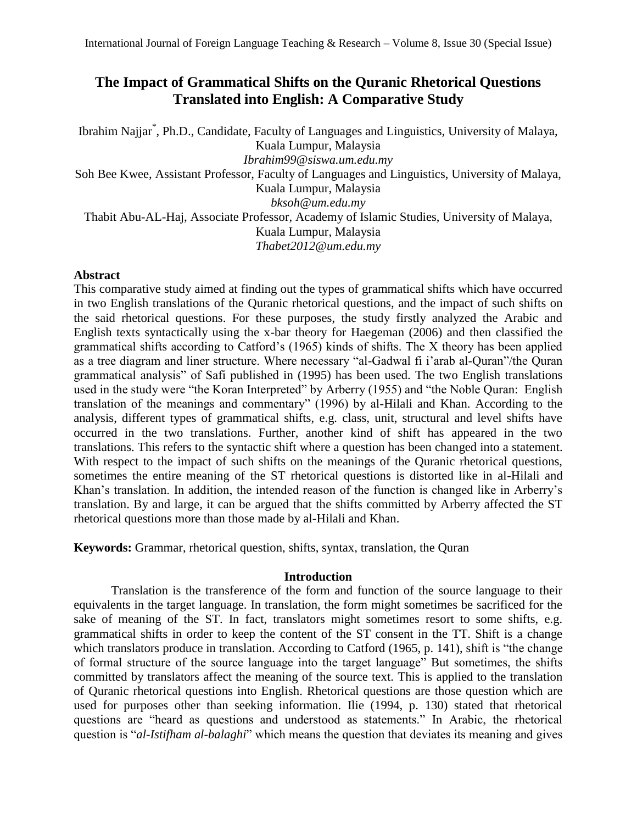# **The Impact of Grammatical Shifts on the Quranic Rhetorical Questions Translated into English: A Comparative Study**

Ibrahim Najjar\* , Ph.D., Candidate, Faculty of Languages and Linguistics, University of Malaya, Kuala Lumpur, Malaysia *[Ibrahim99@siswa.um.edu.my](mailto:Ibrahim99@siswa.um.edu.my)* Soh Bee Kwee, Assistant Professor, Faculty of Languages and Linguistics, University of Malaya, Kuala Lumpur, Malaysia *[bksoh@um.edu.my](mailto:bksoh@um.edu.my)* Thabit Abu-AL-Haj, Associate Professor, Academy of Islamic Studies, University of Malaya, Kuala Lumpur, Malaysia *[Thabet2012@um.edu.my](mailto:Thabet2012@um.edu.my)*

## **Abstract**

This comparative study aimed at finding out the types of grammatical shifts which have occurred in two English translations of the Quranic rhetorical questions, and the impact of such shifts on the said rhetorical questions. For these purposes, the study firstly analyzed the Arabic and English texts syntactically using the x-bar theory for Haegeman (2006) and then classified the grammatical shifts according to Catford's (1965) kinds of shifts. The X theory has been applied as a tree diagram and liner structure. Where necessary "al-Gadwal fi i'arab al-Quran"/the Quran grammatical analysis" of Safi published in (1995) has been used. The two English translations used in the study were "the Koran Interpreted" by Arberry (1955) and "the Noble Quran: English translation of the meanings and commentary" (1996) by al-Hilali and Khan. According to the analysis, different types of grammatical shifts, e.g. class, unit, structural and level shifts have occurred in the two translations. Further, another kind of shift has appeared in the two translations. This refers to the syntactic shift where a question has been changed into a statement. With respect to the impact of such shifts on the meanings of the Quranic rhetorical questions, sometimes the entire meaning of the ST rhetorical questions is distorted like in al-Hilali and Khan's translation. In addition, the intended reason of the function is changed like in Arberry's translation. By and large, it can be argued that the shifts committed by Arberry affected the ST rhetorical questions more than those made by al-Hilali and Khan.

**Keywords:** Grammar, rhetorical question, shifts, syntax, translation, the Quran

## **Introduction**

Translation is the transference of the form and function of the source language to their equivalents in the target language. In translation, the form might sometimes be sacrificed for the sake of meaning of the ST. In fact, translators might sometimes resort to some shifts, e.g. grammatical shifts in order to keep the content of the ST consent in the TT. Shift is a change which translators produce in translation. According to Catford (1965, p. 141), shift is "the change of formal structure of the source language into the target language" But sometimes, the shifts committed by translators affect the meaning of the source text. This is applied to the translation of Quranic rhetorical questions into English. Rhetorical questions are those question which are used for purposes other than seeking information. Ilie (1994, p. 130) stated that rhetorical questions are "heard as questions and understood as statements." In Arabic, the rhetorical question is "*al-Istifham al-balaghi*" which means the question that deviates its meaning and gives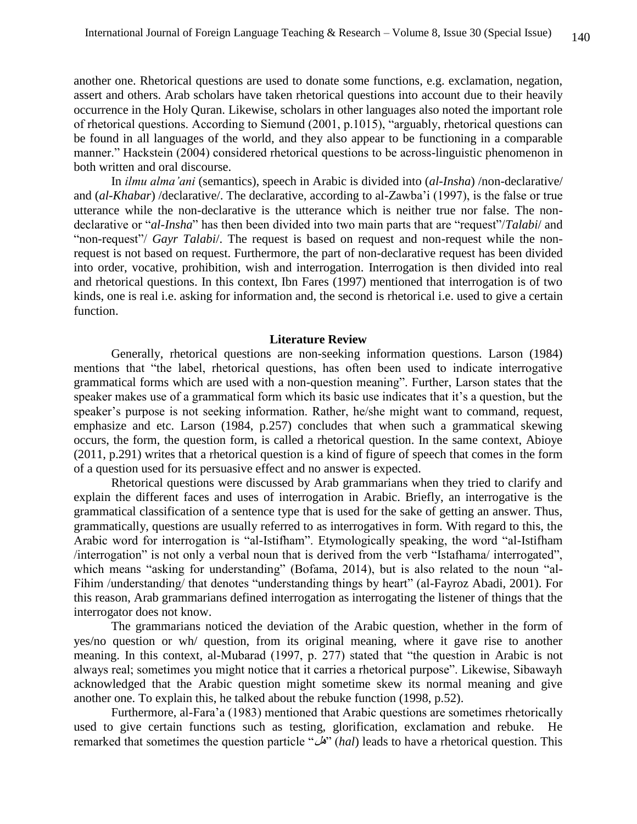another one. Rhetorical questions are used to donate some functions, e.g. exclamation, negation, assert and others. Arab scholars have taken rhetorical questions into account due to their heavily occurrence in the Holy Quran. Likewise, scholars in other languages also noted the important role of rhetorical questions. According to Siemund (2001, p.1015), "arguably, rhetorical questions can be found in all languages of the world, and they also appear to be functioning in a comparable manner." Hackstein (2004) considered rhetorical questions to be across-linguistic phenomenon in both written and oral discourse.

In *ilmu alma'ani* (semantics), speech in Arabic is divided into (*al-Insha*) /non-declarative/ and (*al-Khabar*) /declarative/. The declarative, according to al-Zawba'i (1997), is the false or true utterance while the non-declarative is the utterance which is neither true nor false. The nondeclarative or "*al-Insha*" has then been divided into two main parts that are "request"/*Talabi*/ and "non-request"/ *Gayr Talabi*/. The request is based on request and non-request while the nonrequest is not based on request. Furthermore, the part of non-declarative request has been divided into order, vocative, prohibition, wish and interrogation. Interrogation is then divided into real and rhetorical questions. In this context, Ibn Fares (1997) mentioned that interrogation is of two kinds, one is real i.e. asking for information and, the second is rhetorical i.e. used to give a certain function.

#### **Literature Review**

Generally, rhetorical questions are non-seeking information questions. Larson (1984) mentions that "the label, rhetorical questions, has often been used to indicate interrogative grammatical forms which are used with a non-question meaning". Further, Larson states that the speaker makes use of a grammatical form which its basic use indicates that it's a question, but the speaker's purpose is not seeking information. Rather, he/she might want to command, request, emphasize and etc. Larson (1984, p.257) concludes that when such a grammatical skewing occurs, the form, the question form, is called a rhetorical question. In the same context, Abioye (2011, p.291) writes that a rhetorical question is a kind of figure of speech that comes in the form of a question used for its persuasive effect and no answer is expected.

Rhetorical questions were discussed by Arab grammarians when they tried to clarify and explain the different faces and uses of interrogation in Arabic. Briefly, an interrogative is the grammatical classification of a sentence type that is used for the sake of getting an answer. Thus, grammatically, questions are usually referred to as interrogatives in form. With regard to this, the Arabic word for interrogation is "al-Istifham". Etymologically speaking, the word "al-Istifham /interrogation" is not only a verbal noun that is derived from the verb "Istafhama/ interrogated", which means "asking for understanding" (Bofama, 2014), but is also related to the noun "al-Fihim /understanding/ that denotes "understanding things by heart" (al-Fayroz Abadi, 2001). For this reason, Arab grammarians defined interrogation as interrogating the listener of things that the interrogator does not know.

The grammarians noticed the deviation of the Arabic question, whether in the form of yes/no question or wh/ question, from its original meaning, where it gave rise to another meaning. In this context, al-Mubarad (1997, p. 277) stated that "the question in Arabic is not always real; sometimes you might notice that it carries a rhetorical purpose". Likewise, Sibawayh acknowledged that the Arabic question might sometime skew its normal meaning and give another one. To explain this, he talked about the rebuke function (1998, p.52).

Furthermore, al-Fara'a (1983) mentioned that Arabic questions are sometimes rhetorically used to give certain functions such as testing, glorification, exclamation and rebuke. He remarked that sometimes the question particle "هل) "*hal*) leads to have a rhetorical question. This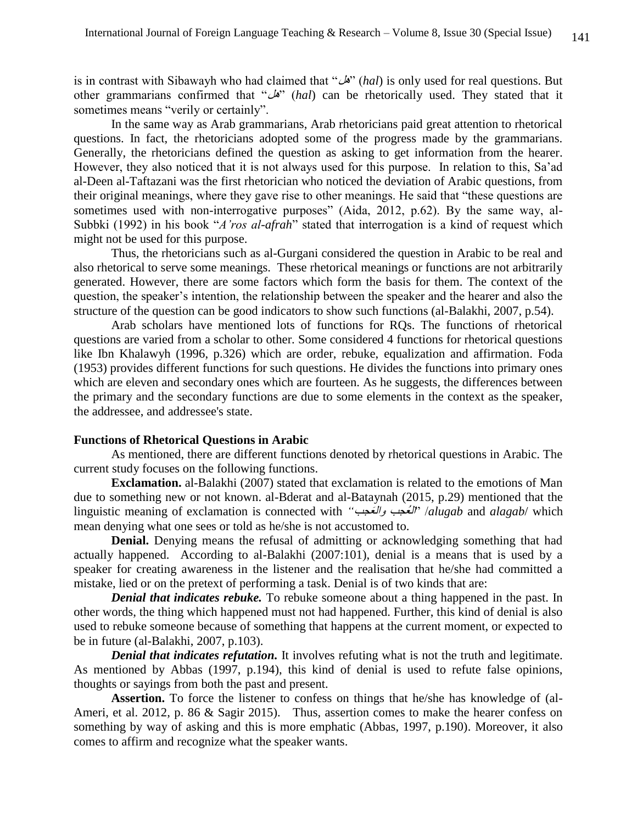is in contrast with Sibawayh who had claimed that "هل) "*hal*) is only used for real questions. But other grammarians confirmed that "هل) "*hal*) can be rhetorically used. They stated that it sometimes means "verily or certainly".

In the same way as Arab grammarians, Arab rhetoricians paid great attention to rhetorical questions. In fact, the rhetoricians adopted some of the progress made by the grammarians. Generally, the rhetoricians defined the question as asking to get information from the hearer. However, they also noticed that it is not always used for this purpose. In relation to this, Sa'ad al-Deen al-Taftazani was the first rhetorician who noticed the deviation of Arabic questions, from their original meanings, where they gave rise to other meanings. He said that "these questions are sometimes used with non-interrogative purposes" (Aida, 2012, p.62). By the same way, al-Subbki (1992) in his book "*A'ros al-afrah*" stated that interrogation is a kind of request which might not be used for this purpose.

Thus, the rhetoricians such as al-Gurgani considered the question in Arabic to be real and also rhetorical to serve some meanings. These rhetorical meanings or functions are not arbitrarily generated. However, there are some factors which form the basis for them. The context of the question, the speaker's intention, the relationship between the speaker and the hearer and also the structure of the question can be good indicators to show such functions (al-Balakhi, 2007, p.54).

Arab scholars have mentioned lots of functions for RQs. The functions of rhetorical questions are varied from a scholar to other. Some considered 4 functions for rhetorical questions like Ibn Khalawyh (1996, p.326) which are order, rebuke, equalization and affirmation. Foda (1953) provides different functions for such questions. He divides the functions into primary ones which are eleven and secondary ones which are fourteen. As he suggests, the differences between the primary and the secondary functions are due to some elements in the context as the speaker, the addressee, and addressee's state.

#### **Functions of Rhetorical Questions in Arabic**

As mentioned, there are different functions denoted by rhetorical questions in Arabic. The current study focuses on the following functions.

**Exclamation.** al-Balakhi (2007) stated that exclamation is related to the emotions of Man due to something new or not known. al-Bderat and al-Bataynah (2015, p.29) mentioned that the linguistic meaning of exclamation is connected with *"*عجبَ وال عجبُ ال "/*alugab* and *alagab*/ which mean denying what one sees or told as he/she is not accustomed to.

**Denial.** Denying means the refusal of admitting or acknowledging something that had actually happened. According to al-Balakhi (2007:101), denial is a means that is used by a speaker for creating awareness in the listener and the realisation that he/she had committed a mistake, lied or on the pretext of performing a task. Denial is of two kinds that are:

*Denial that indicates rebuke.* To rebuke someone about a thing happened in the past. In other words, the thing which happened must not had happened. Further, this kind of denial is also used to rebuke someone because of something that happens at the current moment, or expected to be in future (al-Balakhi, 2007, p.103).

*Denial that indicates refutation.* It involves refuting what is not the truth and legitimate. As mentioned by Abbas (1997, p.194), this kind of denial is used to refute false opinions, thoughts or sayings from both the past and present.

**Assertion.** To force the listener to confess on things that he/she has knowledge of (al-Ameri, et al. 2012, p. 86 & Sagir 2015). Thus, assertion comes to make the hearer confess on something by way of asking and this is more emphatic (Abbas, 1997, p.190). Moreover, it also comes to affirm and recognize what the speaker wants.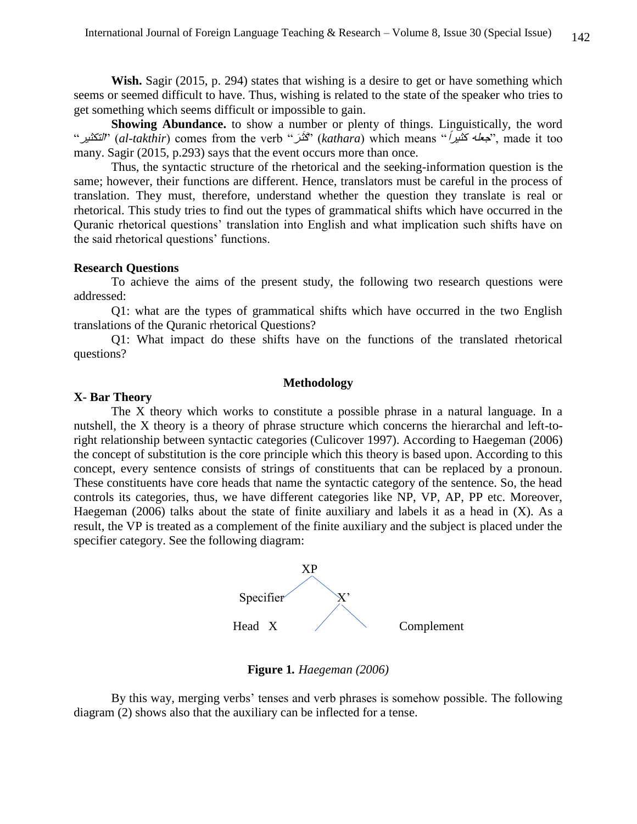**Wish.** Sagir (2015, p. 294) states that wishing is a desire to get or have something which seems or seemed difficult to have. Thus, wishing is related to the state of the speaker who tries to get something which seems difficult or impossible to gain.

**Showing Abundance.** to show a number or plenty of things. Linguistically, the word "التكثير) "*al-takthir*) comes from the verb "رَ ثَكَ) " *kathara*) which means "<sup>ا</sup> كثير جعله", made it too many. Sagir (2015, p.293) says that the event occurs more than once.

Thus, the syntactic structure of the rhetorical and the seeking-information question is the same; however, their functions are different. Hence, translators must be careful in the process of translation. They must, therefore, understand whether the question they translate is real or rhetorical. This study tries to find out the types of grammatical shifts which have occurred in the Quranic rhetorical questions' translation into English and what implication such shifts have on the said rhetorical questions' functions.

#### **Research Questions**

To achieve the aims of the present study, the following two research questions were addressed:

Q1: what are the types of grammatical shifts which have occurred in the two English translations of the Quranic rhetorical Questions?

Q1: What impact do these shifts have on the functions of the translated rhetorical questions?

### **Methodology**

### **X- Bar Theory**

The X theory which works to constitute a possible phrase in a natural language. In a nutshell, the X theory is a theory of phrase structure which concerns the hierarchal and left-toright relationship between syntactic categories (Culicover 1997). According to Haegeman (2006) the concept of substitution is the core principle which this theory is based upon. According to this concept, every sentence consists of strings of constituents that can be replaced by a pronoun. These constituents have core heads that name the syntactic category of the sentence. So, the head controls its categories, thus, we have different categories like NP, VP, AP, PP etc. Moreover, Haegeman (2006) talks about the state of finite auxiliary and labels it as a head in  $(X)$ . As a result, the VP is treated as a complement of the finite auxiliary and the subject is placed under the specifier category. See the following diagram:



**Figure 1***. Haegeman (2006)*

By this way, merging verbs' tenses and verb phrases is somehow possible. The following diagram (2) shows also that the auxiliary can be inflected for a tense.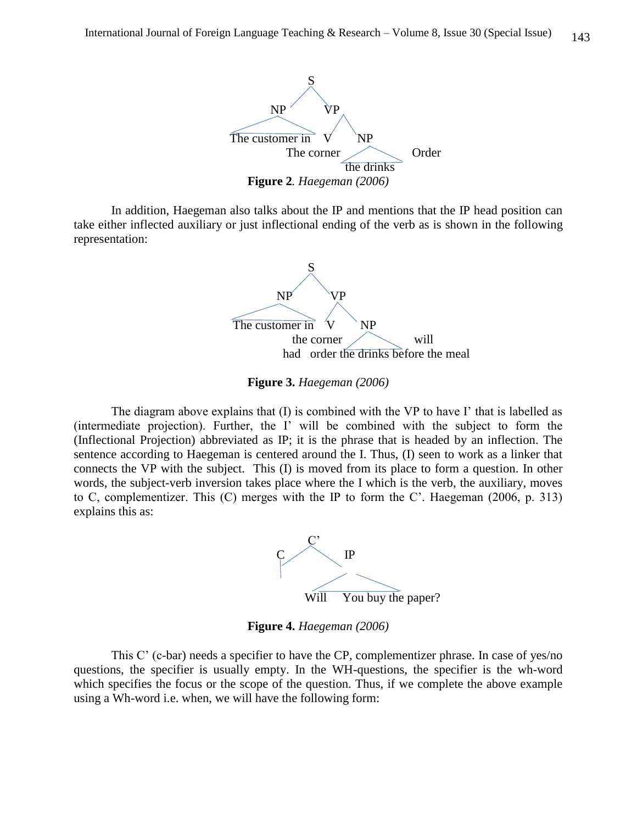

In addition, Haegeman also talks about the IP and mentions that the IP head position can take either inflected auxiliary or just inflectional ending of the verb as is shown in the following representation:



**Figure 3.** *Haegeman (2006)*

The diagram above explains that (I) is combined with the VP to have I' that is labelled as (intermediate projection). Further, the I' will be combined with the subject to form the (Inflectional Projection) abbreviated as IP; it is the phrase that is headed by an inflection. The sentence according to Haegeman is centered around the I. Thus, (I) seen to work as a linker that connects the VP with the subject. This (I) is moved from its place to form a question. In other words, the subject-verb inversion takes place where the I which is the verb, the auxiliary, moves to C, complementizer. This (C) merges with the IP to form the C'. Haegeman (2006, p. 313) explains this as:



**Figure 4.** *Haegeman (2006)*

This C' (c-bar) needs a specifier to have the CP, complementizer phrase. In case of yes/no questions, the specifier is usually empty. In the WH-questions, the specifier is the wh-word which specifies the focus or the scope of the question. Thus, if we complete the above example using a Wh-word i.e. when, we will have the following form: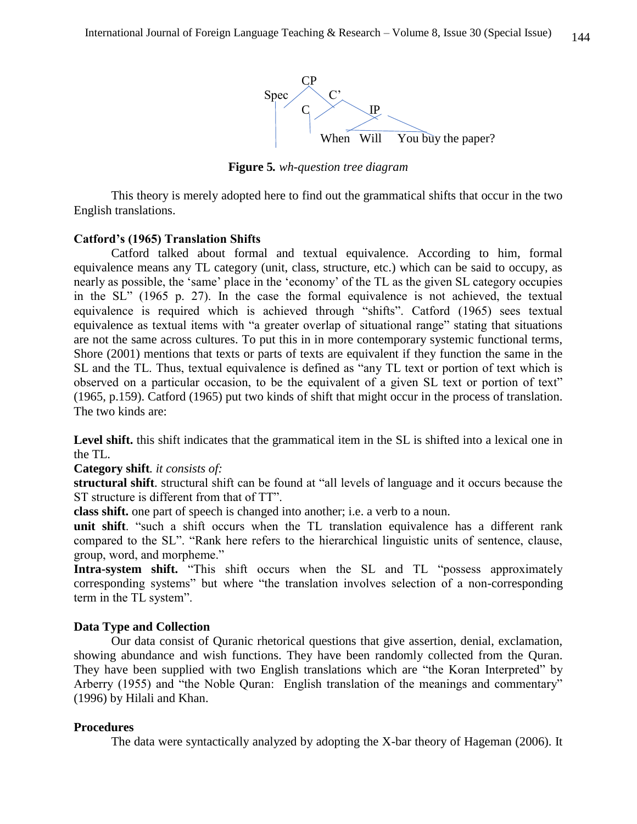

**Figure 5***. wh-question tree diagram*

This theory is merely adopted here to find out the grammatical shifts that occur in the two English translations.

## **Catford's (1965) Translation Shifts**

Catford talked about formal and textual equivalence. According to him, formal equivalence means any TL category (unit, class, structure, etc.) which can be said to occupy, as nearly as possible, the 'same' place in the 'economy' of the TL as the given SL category occupies in the SL" (1965 p. 27). In the case the formal equivalence is not achieved, the textual equivalence is required which is achieved through "shifts". Catford (1965) sees textual equivalence as textual items with "a greater overlap of situational range" stating that situations are not the same across cultures. To put this in in more contemporary systemic functional terms, Shore (2001) mentions that texts or parts of texts are equivalent if they function the same in the SL and the TL. Thus, textual equivalence is defined as "any TL text or portion of text which is observed on a particular occasion, to be the equivalent of a given SL text or portion of text" (1965, p.159). Catford (1965) put two kinds of shift that might occur in the process of translation. The two kinds are:

Level shift, this shift indicates that the grammatical item in the SL is shifted into a lexical one in the TL.

**Category shift***. it consists of:* 

**structural shift**. structural shift can be found at "all levels of language and it occurs because the ST structure is different from that of TT".

**class shift.** one part of speech is changed into another; i.e. a verb to a noun.

**unit shift**. "such a shift occurs when the TL translation equivalence has a different rank compared to the SL". "Rank here refers to the hierarchical linguistic units of sentence, clause, group, word, and morpheme."

**Intra-system shift.** "This shift occurs when the SL and TL "possess approximately corresponding systems" but where "the translation involves selection of a non-corresponding term in the TL system".

## **Data Type and Collection**

Our data consist of Quranic rhetorical questions that give assertion, denial, exclamation, showing abundance and wish functions. They have been randomly collected from the Quran. They have been supplied with two English translations which are "the Koran Interpreted" by Arberry (1955) and "the Noble Quran: English translation of the meanings and commentary" (1996) by Hilali and Khan.

## **Procedures**

The data were syntactically analyzed by adopting the X-bar theory of Hageman (2006). It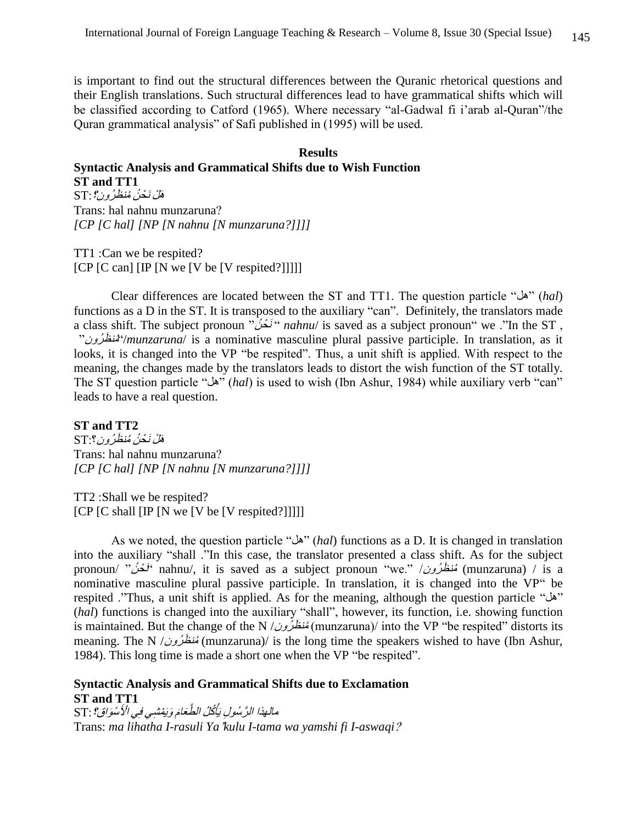is important to find out the structural differences between the Quranic rhetorical questions and their English translations. Such structural differences lead to have grammatical shifts which will be classified according to Catford (1965). Where necessary "al-Gadwal fi i'arab al-Quran"/the Quran grammatical analysis" of Safi published in (1995) will be used.

## **Results Syntactic Analysis and Grammatical Shifts due to Wish Function ST and TT1** هَلْ نَحْنُ مُنظَرُون؟ : ST Trans: hal nahnu munzaruna?

TT1 :Can we be respited? [CP [C can] [IP [N we [V be [V respited?]]]]]

*[CP [C hal] [NP [N nahnu [N munzaruna?]]]]*

Clear differences are located between the ST and TT1. The question particle "هل) "*hal*) functions as a D in the ST. It is transposed to the auxiliary "can". Definitely, the translators made a class shift. The subject pronoun "نَحْنُ" *nahnu*/ is saved as a subject pronoun" we ."In the ST, "رونُ ظَ منُ" /*munzaruna*/ is a nominative masculine plural passive participle. In translation, as it looks, it is changed into the VP "be respited". Thus, a unit shift is applied. With respect to the meaning, the changes made by the translators leads to distort the wish function of the ST totally. The ST question particle "هل) "*hal*) is used to wish (Ibn Ashur, 1984) while auxiliary verb "can" leads to have a real question.

**ST and TT2** هَلْ نَحْنُ مُنظَرُون؟:ST Trans: hal nahnu munzaruna? *[CP [C hal] [NP [N nahnu [N munzaruna?]]]]*

TT2 :Shall we be respited? [CP [C shall [IP [N we [V be [V respited?]]]]]

As we noted, the question particle "هل) "*hal*) functions as a D. It is changed in translation into the auxiliary "shall ."In this case, the translator presented a class shift. As for the subject pronoun/ "نُحْنُ" nahnu/, it is saved as a subject pronoun "we." /أَنْعَشُ" /munzaruna) / is a nominative masculine plural passive participle. In translation, it is changed into the VP" be respited ."Thus, a unit shift is applied. As for the meaning, although the question particle "هل " (*hal*) functions is changed into the auxiliary "shall", however, its function, i.e. showing function is maintained. But the change of the N / مُنظَرِّون/ (munzaruna)/ into the VP "be respited" distorts its meaning. The N /مُنظَرُونُ (munzaruna)/ is the long time the speakers wished to have (Ibn Ashur, 1984). This long time is made a short one when the VP "be respited".

## **Syntactic Analysis and Grammatical Shifts due to Exclamation ST and TT1**

يَّأْكُلُ الضَّعَامَ وَيَمْشْبِي فِي الْأَسْوَاقِ؟ : ST مالهذا الرَّسُولِ يَأْكُلُ الطَّعَامَ وَيَفْشِي فِي الْأُسْوَاقِ؟ : Trans: *ma lihatha I-rasuli Ya*'*kulu I-tama wa yamshi fi I-aswaqi*?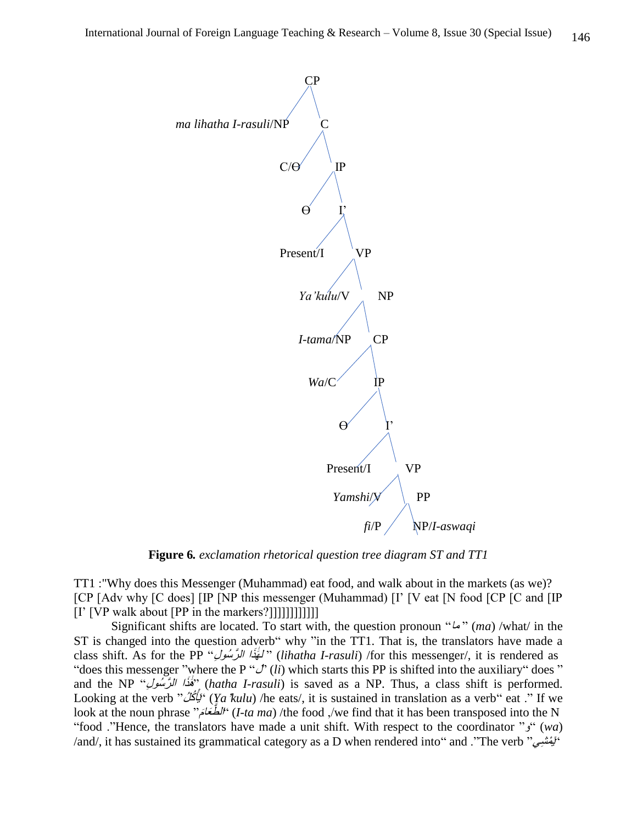

**Figure 6***. exclamation rhetorical question tree diagram ST and TT1*

TT1 :"Why does this Messenger (Muhammad) eat food, and walk about in the markets (as we)? [CP [Adv why [C does] [IP [NP this messenger (Muhammad) [I' [V eat [N food [CP [C and [IP [I' [VP walk about [PP in the markers?]]]]]]]]]]]]

Significant shifts are located. To start with, the question pronoun " $\omega$ " (ma) /what/ in the ST is changed into the question adverb" why "in the TT1. That is, the translators have made a class shift. As for the PP *"لَخَذَا الرَّسُولِ" (lihatha I-rasuli)* /for this messenger/, it is rendered as "does this messenger "where the P " $J'$  (*li*) which starts this PP is shifted into the auxiliary" does " and the NP "فَقَدًا الرَّسُ*ولِ*" (hatha I-rasuli) is saved as a NP. Thus, a class shift is performed. ' يُأْكُلُ'" Looking at the verb " أَي) *Ya*'*kulu*) /he eats/, it is sustained in translation as a verb" eat ." If we look at the noun phrase "*الطَّعَامَ*" *I-ta ma*) /the food ,/we find that it has been transposed into the N "food ."Hence, the translators have made a unit shift. With respect to the coordinator "و) "*wa*) /and/, it has sustained its grammatical category as a D when rendered into" and ."The verb" بَيْمَشِي"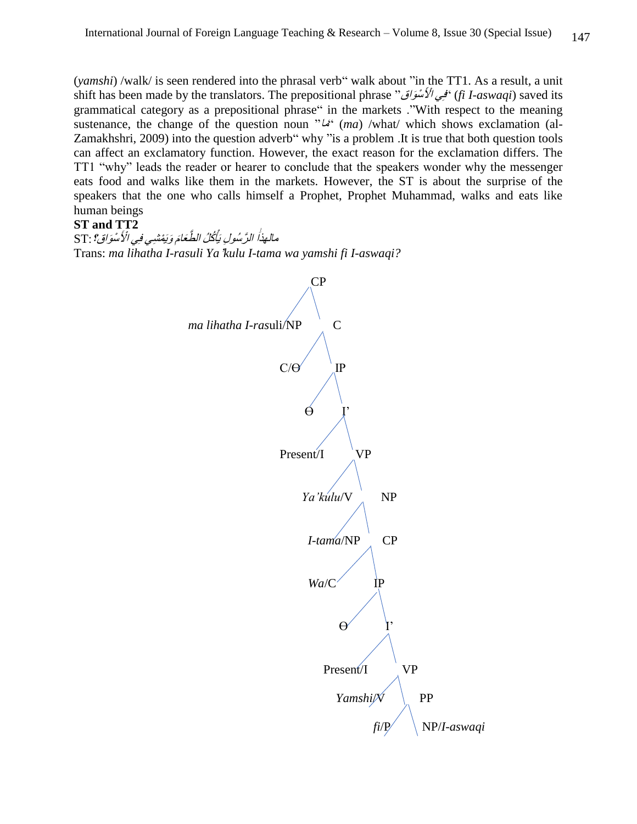(*yamshi*) /walk/ is seen rendered into the phrasal verb" walk about "in the TT1. As a result, a unit shift has been made by the translators. The prepositional phrase "واقَ سْ لَْ ْ ا يِف) "*fi I-aswaqi*) saved its grammatical category as a prepositional phrase" in the markets ."With respect to the meaning sustenance, the change of the question noun " $L^{\alpha}$  (ma) /what/ which shows exclamation (al-Zamakhshri, 2009) into the question adverb" why "is a problem .It is true that both question tools can affect an exclamatory function. However, the exact reason for the exclamation differs. The TT1 "why" leads the reader or hearer to conclude that the speakers wonder why the messenger eats food and walks like them in the markets. However, the ST is about the surprise of the speakers that the one who calls himself a Prophet, Prophet Muhammad, walks and eats like human beings

## **ST and TT2**

يَّأْكُلُ الضَّعَامَ وَيَمْشْيِي فِي الْأَسْوَاقِ؟ : ST مالهذا الرَّسُولِ يَأْكُلُ الطَّعَامَ وَيَمْشِي فِي الْأَسْوَاقِ؟ : Trans: *ma lihatha I-rasuli Ya*'*kulu I-tama wa yamshi fi I-aswaqi?*

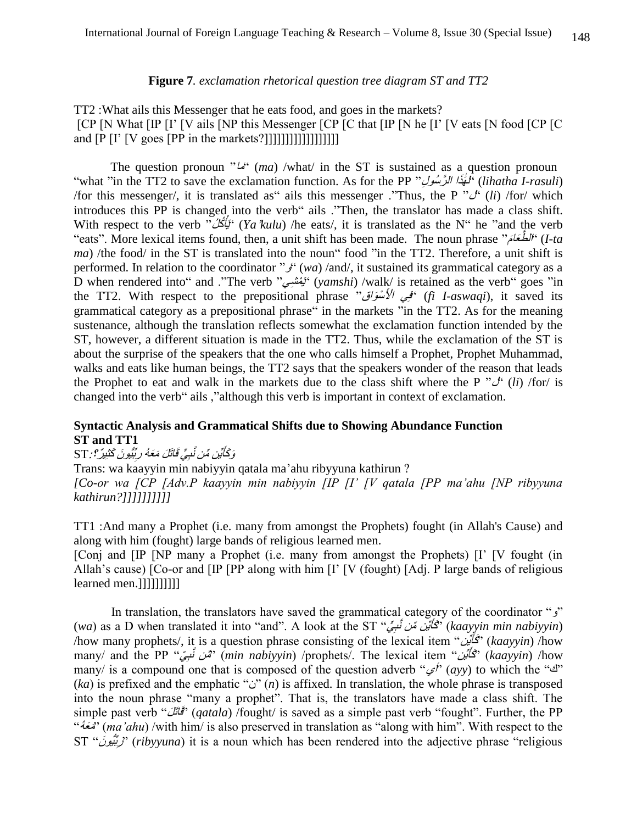## **Figure 7***. exclamation rhetorical question tree diagram ST and TT2*

TT2 :What ails this Messenger that he eats food, and goes in the markets? [CP [N What [IP [I' [V ails [NP this Messenger [CP [C that [IP [N he [I' [V eats [N food [CP [C and [P [I' [V goes [PP in the markets?]]]]]]]]]]]]]]]]]]

The question pronoun " $\mathcal{L}$ " (*ma*) /what/ in the ST is sustained as a question pronoun "what "in the TT2 to save the exclamation function. As for the PP *فَلِيَّذَا الرَّسُولِ" (lihatha I-rasuli*) /for this messenger/, it is translated as<sup>"</sup> ails this messenger ."Thus, the P  $\mathcal{C}^k$  (li) /for/ which introduces this PP is changed into the verb" ails ."Then, the translator has made a class shift. "بِّأْكُلُ<sup>"</sup> With respect to the verb " أَي) *Ya*'*kulu*) /he eats/, it is translated as the N" he "and the verb "eats". More lexical items found, then, a unit shift has been made. The noun phrase "مَ َّطَعا ال) "*I-ta ma*) /the food/ in the ST is translated into the noun" food "in the TT2. Therefore, a unit shift is performed. In relation to the coordinator " $j^*$  (wa) /and/, it sustained its grammatical category as a D when rendered into" and ."The verb "يُمْشِي" (yamshi) /walk/ is retained as the verb" goes "in the TT2. With respect to the prepositional phrase "فَقِي الْأَسْوَاقَ" (*fi I-aswaqi*), it saved its grammatical category as a prepositional phrase" in the markets "in the TT2. As for the meaning sustenance, although the translation reflects somewhat the exclamation function intended by the ST, however, a different situation is made in the TT2. Thus, while the exclamation of the ST is about the surprise of the speakers that the one who calls himself a Prophet, Prophet Muhammad, walks and eats like human beings, the TT2 says that the speakers wonder of the reason that leads the Prophet to eat and walk in the markets due to the class shift where the P " $\mathcal{J}^{\prime}$  (*li*) /for/ is changed into the verb" ails ,"although this verb is important in context of exclamation.

## **Syntactic Analysis and Grammatical Shifts due to Showing Abundance Function ST and TT1**

#### كَايِّن مِّن نَّبِيٍّ قَاتَلَ مَعَهُ رِبِّيُّيونَ كَثْنِيرٌ ؟: ST وَكَأَيِّنِ مِّن نَّبِيٍّ قَاتَكَ مَعَهُ رِبِّيُونَ كَثِيرٌ ؟ :

Trans: wa kaayyin min nabiyyin qatala ma'ahu ribyyuna kathirun ? *[Co-or wa [CP [Adv.P kaayyin min nabiyyin [IP [I' [V qatala [PP ma'ahu [NP ribyyuna kathirun?]]]]]]]]]]* 

TT1 :And many a Prophet (i.e. many from amongst the Prophets) fought (in Allah's Cause) and along with him (fought) large bands of religious learned men.

[Conj and [IP [NP many a Prophet (i.e. many from amongst the Prophets) [I' [V fought (in Allah's cause) [Co-or and [IP [PP along with him [I' [V (fought) [Adj. P large bands of religious learned men.]]]]]]]]]]

In translation, the translators have saved the grammatical category of the coordinator " $\chi$ " (*wa*) as a D when translated it into "and". A look at the ST "فَأَيِّن مِّن نَّسِيٌّ" (*kaayyin min nabiyyin*) /how many prophets/, it is a question phrase consisting of the lexical item "أَكَأَيْن" (kaayyin) /how َmany/ and the PP *"مِّن نَّبِيّ" (min nabiyyin*) /prophets/. The lexical item كأَ) " *kaayyin*) /how many/ is a compound one that is composed of the question adverb " $\mathcal{P}'$  (ayy) to which the " $\mathcal{P}'$ " (*ka*) is prefixed and the emphatic "indictary is affixed. In translation, the whole phrase is transposed into the noun phrase "many a prophet". That is, the translators have made a class shift. The simple past verb "لَ َقاتَ) "*qatala*) /fought/ is saved as a simple past verb "fought". Further, the PP "ُعهَمَ) " *ma'ahu*) /with him/ is also preserved in translation as "along with him". With respect to the بُِّّيو َن" ST ِر) "*ribyyuna*) it is a noun which has been rendered into the adjective phrase "religious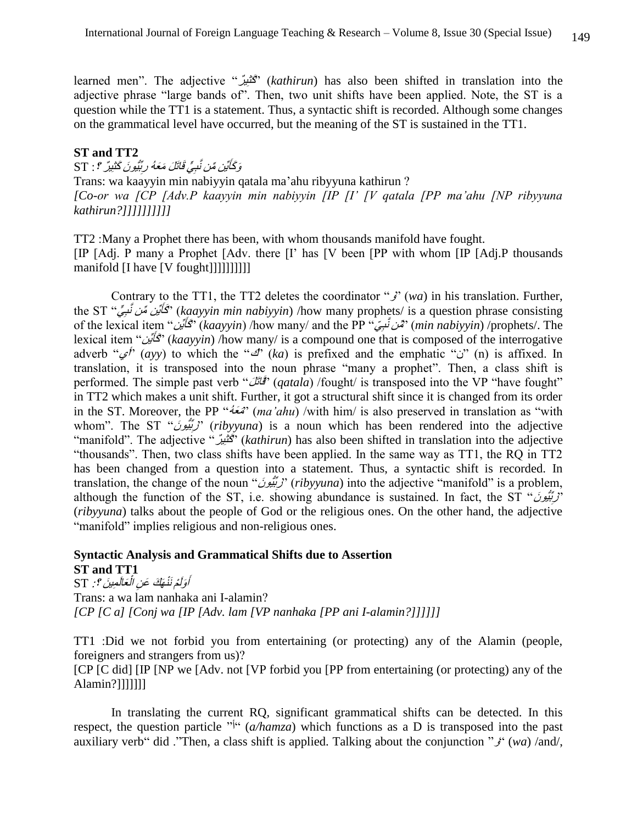learned men". The adjective "كُثِيرٌ" (kathirun) has also been shifted in translation into the adjective phrase "large bands of". Then, two unit shifts have been applied. Note, the ST is a question while the TT1 is a statement. Thus, a syntactic shift is recorded. Although some changes on the grammatical level have occurred, but the meaning of the ST is sustained in the TT1.

### **ST and TT2**

كَاّيَن مِّن نَّبِيٍّ قَاتَكَ مَعَهُ رِبِّيُّيونَ كَثْنِيرٌ ؟ : ST وَكَأَيِّن مِّن نَّبِيٍّ قَاتَلَ مَعَهُ رِبِّيُّونَ كَثْنِيرٌ ؟ :

Trans: wa kaayyin min nabiyyin qatala ma'ahu ribyyuna kathirun ? *[Co-or wa [CP [Adv.P kaayyin min nabiyyin [IP [I' [V qatala [PP ma'ahu [NP ribyyuna kathirun?]]]]]]]]]]* 

TT2 :Many a Prophet there has been, with whom thousands manifold have fought. [IP [Adj. P many a Prophet [Adv. there [I' has [V been [PP with whom [IP [Adj.P thousands manifold [I have [V fought]]]]]]]]]]

Contrary to the TT1, the TT2 deletes the coordinator " $j'$ " (wa) in his translation. Further, the ST "كَأَيُّن مِّن نَّسِيٍّ" (kaayyin min nabiyyin) /how many prophets/ is a question phrase consisting of the lexical item "فَكَانَيْنَ" *(kaayyin) /*how many/ and the PP "فَكَانَيْنَ" *(min nabiyyin) /*prophets/. The lexical item "يَ*أَيِّن*  كأَ) " *kaayyin*) /how many/ is a compound one that is composed of the interrogative adverb "*غ*" (ayy) to which the "*J*" (ka) is prefixed and the emphatic "i" (n) is affixed. In translation, it is transposed into the noun phrase "many a prophet". Then, a class shift is performed. The simple past verb "*فَأَتَلْ*" *(qatala)* /fought/ is transposed into the VP "have fought" in TT2 which makes a unit shift. Further, it got a structural shift since it is changed from its order in the ST. Moreover, the PP "ُعهَمَ) " *ma'ahu*) /with him/ is also preserved in translation as "with whom". The ST "*ribyyuna*) is a noun which has been rendered into the adjective "manifold". The adjective "رٌ يِكثَ) " *kathirun*) has also been shifted in translation into the adjective "thousands". Then, two class shifts have been applied. In the same way as TT1, the RQ in TT2 has been changed from a question into a statement. Thus, a syntactic shift is recorded. In translation, the change of the noun "*رِبَّيُّونَ*" *(ribyyuna*) into the adjective "manifold" is a problem, although the function of the ST, i.e. showing abundance is sustained. In fact, the ST "زَيِّبُونَ" (*ribyyuna*) talks about the people of God or the religious ones. On the other hand, the adjective "manifold" implies religious and non-religious ones.

#### **Syntactic Analysis and Grammatical Shifts due to Assertion ST and TT1** ْ

مَ*الَمِينَ ؟ : S*T أَوَلَمْ نَنْهَكَ عَنِ الْعَالَمِينَ ؟ : Trans: a wa lam nanhaka ani I-alamin? *[CP [C a] [Conj wa [IP [Adv. lam [VP nanhaka [PP ani I-alamin?]]]]]]* 

TT1 :Did we not forbid you from entertaining (or protecting) any of the Alamin (people, foreigners and strangers from us)?

[CP [C did] [IP [NP we [Adv. not [VP forbid you [PP from entertaining (or protecting) any of the Alamin?]]]]]]]

In translating the current RQ, significant grammatical shifts can be detected. In this respect, the question particle "<sup> $i<sup>a</sup>$ </sup> (a/hamza) which functions as a D is transposed into the past auxiliary verb" did ."Then, a class shift is applied. Talking about the conjunction "و) "*wa*) /and/,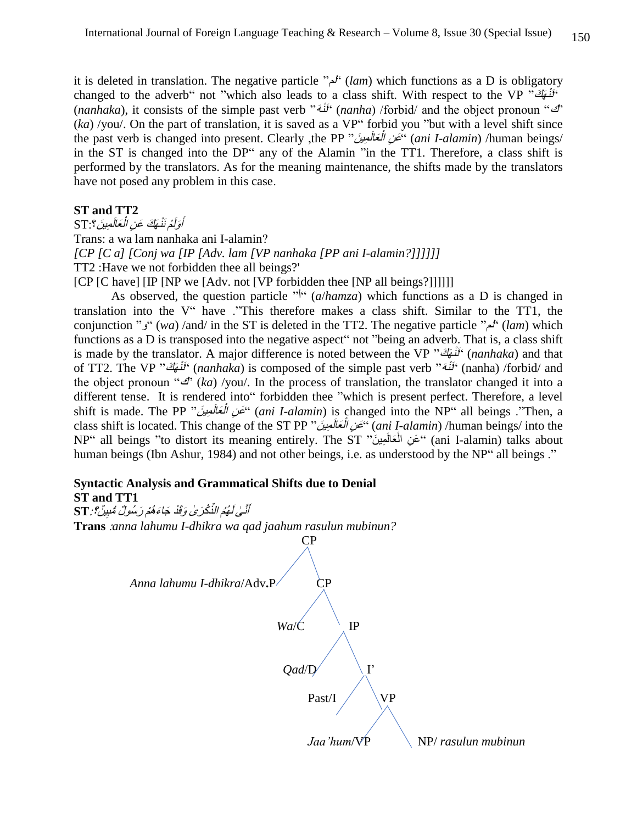it is deleted in translation. The negative particle "لم) "*lam*) which functions as a D is obligatory changed to the adverb" not "which also leads to a class shift. With respect to the VP "نَفْهَكَ" *ranhaka*), it consists of the simple past verb "نَّنْهُ" (*nanha)* /forbid/ and the object pronoun " $\mathcal{B}$ " (*ka*) /you/. On the part of translation, it is saved as a VP" forbid you "but with a level shift since the past verb is changed into present. Clearly ,the PP "الْتَعَالَمِينَ ا نِ عَ) " *ani I-alamin*) /human beings/ in the ST is changed into the DP" any of the Alamin "in the TT1. Therefore, a class shift is performed by the translators. As for the meaning maintenance, the shifts made by the translators have not posed any problem in this case.

#### **ST and TT2**

عَالَمِينَ؟:ST ْأَوَلَمْ نَنْهَكَ عَنِ الْعَالَمِينَ؟: Trans: a wa lam nanhaka ani I-alamin? *[CP [C a] [Conj wa [IP [Adv. lam [VP nanhaka [PP ani I-alamin?]]]]]]* TT2 :Have we not forbidden thee all beings?'

[CP [C have] [IP [NP we [Adv. not [VP forbidden thee [NP all beings?]]]]]]

As observed, the question particle  $\int_a^b (a/hamza)$  which functions as a D is changed in translation into the V" have ."This therefore makes a class shift. Similar to the TT1, the conjunction "و) "*wa*) /and/ in the ST is deleted in the TT2. The negative particle "لم) "*lam*) which functions as a D is transposed into the negative aspect" not "being an adverb. That is, a class shift is made by the translator. A major difference is noted between the VP "كَنْهَاتٌ" (nanhaka) and that of TT2. The VP "كَمَنْهَ*" (nanhaka*) is composed of the simple past verb "كَمَنْهَا كَنْ "of TT2. The VP" the object pronoun " $\mathcal{D}$ <sup>'</sup> (ka) /you/. In the process of translation, the translator changed it into a different tense. It is rendered into" forbidden thee "which is present perfect. Therefore, a level shift is made. The PP "دَلَعَالَمينَ ا نِ عَ) " *ani I-alamin*) is changed into the NP" all beings ."Then, a class shift is located. This change of the ST PP "التَعَالَمُصِينَ ا نِ عَ) " *ani I-alamin*) /human beings/ into the NP" all beings "to distort its meaning entirely. The ST "نَ مَنِ الْمَعَالَمِينَ" (ani I-alamin) talks about ْ human beings (Ibn Ashur, 1984) and not other beings, i.e. as understood by the NP" all beings ."

# **Syntactic Analysis and Grammatical Shifts due to Denial**

## **ST and TT1**

اَّنَّـٰىٰ لَـُهُمُ الذِّكْرَىٰ وَقَدْ جَاءَهُمْ رَسُولٌ مُّنبِيِّنٌ؟: ST **Tran[s](http://corpus.quran.com/qurandictionary.jsp?q=Any)** :*[anna](http://corpus.quran.com/qurandictionary.jsp?q=Any) lahumu I-dhikra wa qad jaahum rasulun mubinun?*

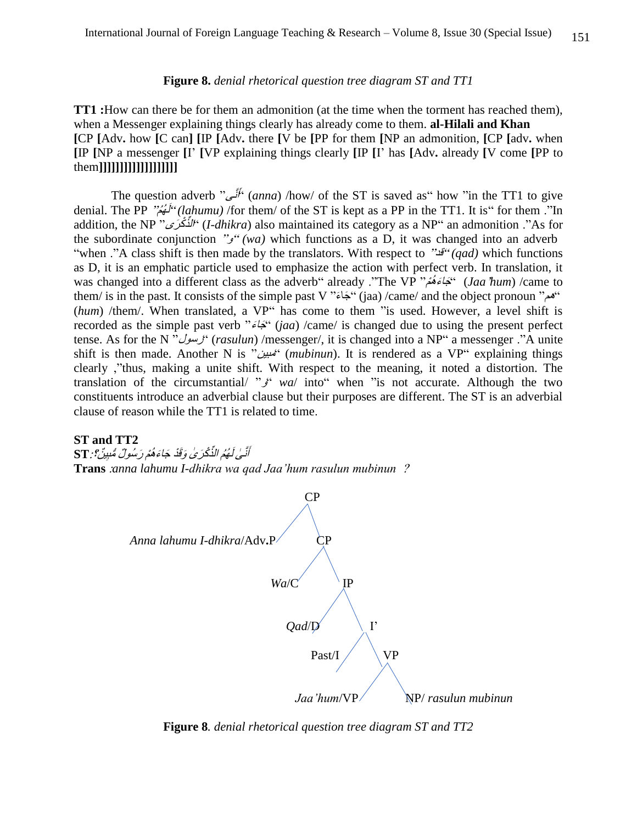#### **Figure 8.** *denial rhetorical question tree diagram ST and TT1*

**TT1 :**How can there be for them an admonition (at the time when the torment has reached them), when a Messenger explaining things clearly has already come to them. **al-Hilali and Khan [**CP **[**Adv**.** how **[**C can**] [**IP **[**Adv**.** there **[**V be **[**PP for them **[**NP an admonition, **[**CP **[**adv**.** when **[**IP **[**NP a messenger **[**I' **[**VP explaining things clearly **[**IP **[**I' has **[**Adv**.** already **[**V come **[**PP to them**]]]]]]]]]]]]]]]]]]]**

The question adverb "نىَّأ َ" (*anna*) /how/ of the ST is saved as" how "in the TT1 to give denial. The PP "مُ لهُ َ" *(lahumu)* /for them/ of the ST is kept as a PP in the TT1. It is" for them ."In addition, the NP "دَنَّكْرَى ال) "*I-dhikra*) also maintained its category as a NP" an admonition ."As for the subordinate conjunction " $e^{x}$  (wa) which functions as a D, it was changed into an adverb "when ."A class shift is then made by the translators. With respect to "قد*)* "*qad)* which functions as D, it is an emphatic particle used to emphasize the action with perfect verb. In translation, it was changed into a different class as the adverb" already ."The VP "كِتَاءَهُمْ" (*Jaa 'hum*) /came to them/ is in the past. It consists of the simple past V "جَاءَ" (jaa) /came/ and the object pronoun "هم" (hum) /them/. When translated, a VP" has come to them "is used. However, a level shift is recorded as the simple past verb "جَاءَ" (*jaa*) /came/ is changed due to using the present perfect tense. As for the N "رسول) "*rasulun*) /messenger/, it is changed into a NP" a messenger ."A unite shift is then made. Another N is "مبين) "*mubinun*). It is rendered as a VP" explaining things clearly ,"thus, making a unite shift. With respect to the meaning, it noted a distortion. The translation of the circumstantial/ " $\zeta$ " wa/ into" when "is not accurate. Although the two constituents introduce an adverbial clause but their purposes are different. The ST is an adverbial clause of reason while the TT1 is related to time.

## **ST and TT2**

اَّنَّـٰىٰ لَـُهُمُ الذِّكْرَىٰ وَقَدْ جَاءَهُمْ رَسُولٌ مُّنبِيِّنٌ؟: ST **Tran[s](http://corpus.quran.com/qurandictionary.jsp?q=Any)** :*[anna](http://corpus.quran.com/qurandictionary.jsp?q=Any) lahumu I-dhikra wa qad Jaa'hum rasulun mubinun* ?



**Figure 8***. denial rhetorical question tree diagram ST and TT2*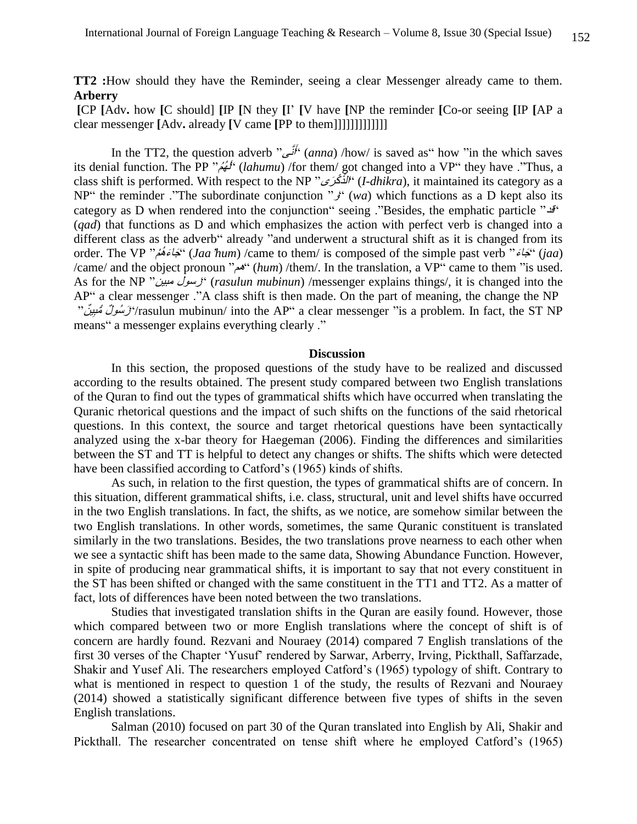**TT2 :**How should they have the Reminder, seeing a clear Messenger already came to them. **Arberry**

**[**CP **[**Adv**.** how **[**C should] **[**IP **[**N they **[**I' **[**V have **[**NP the reminder **[**Co-or seeing **[**IP **[**AP a clear messenger **[**Adv**.** already **[**V came **[**PP to them]]]]]]]]]]]]]

In the TT2, the question adverb "نىَّأ َ" (*anna*) /how/ is saved as" how "in the which saves its denial function. The PP "مُ لهُ َ" (*lahumu*) /for them/ got changed into a VP" they have ."Thus, a class shift is performed. With respect to the NP "رَيْحُرَى  $\hat{U}^{\mu}$  (*I-dhikra*), it maintained its category as a NP" the reminder ."The subordinate conjunction " $\chi^{\prime\prime}(wa)$  which functions as a D kept also its category as D when rendered into the conjunction" seeing ."Besides, the emphatic particle "قد" (*qad*) that functions as D and which emphasizes the action with perfect verb is changed into a different class as the adverb" already "and underwent a structural shift as it is changed from its order. The VP "كْبَاءَهُمْ" *(Jaa 'hum*) /came to them/ is composed of the simple past verb "كَبَاءَهُمْ" *(jaa*) /came/ and the object pronoun "هم) "*hum*) /them/. In the translation, a VP" came to them "is used. As for the NP "مبين رسول) "*rasulun mubinun*) /messenger explains things/, it is changed into the AP" a clear messenger ."A class shift is then made. On the part of meaning, the change the NP <sup>ي</sup> ٌن" مبُّ لٌ سوُ رَ" /rasulun mubinun/ into the AP" a clear messenger "is a problem. In fact, the ST NP means" a messenger explains everything clearly ."

#### **Discussion**

In this section, the proposed questions of the study have to be realized and discussed according to the results obtained. The present study compared between two English translations of the Quran to find out the types of grammatical shifts which have occurred when translating the Quranic rhetorical questions and the impact of such shifts on the functions of the said rhetorical questions. In this context, the source and target rhetorical questions have been syntactically analyzed using the x-bar theory for Haegeman (2006). Finding the differences and similarities between the ST and TT is helpful to detect any changes or shifts. The shifts which were detected have been classified according to Catford's (1965) kinds of shifts.

As such, in relation to the first question, the types of grammatical shifts are of concern. In this situation, different grammatical shifts, i.e. class, structural, unit and level shifts have occurred in the two English translations. In fact, the shifts, as we notice, are somehow similar between the two English translations. In other words, sometimes, the same Quranic constituent is translated similarly in the two translations. Besides, the two translations prove nearness to each other when we see a syntactic shift has been made to the same data, Showing Abundance Function. However, in spite of producing near grammatical shifts, it is important to say that not every constituent in the ST has been shifted or changed with the same constituent in the TT1 and TT2. As a matter of fact, lots of differences have been noted between the two translations.

Studies that investigated translation shifts in the Quran are easily found. However, those which compared between two or more English translations where the concept of shift is of concern are hardly found. Rezvani and Nouraey (2014) compared 7 English translations of the first 30 verses of the Chapter 'Yusuf' rendered by Sarwar, Arberry, Irving, Pickthall, Saffarzade, Shakir and Yusef Ali. The researchers employed Catford's (1965) typology of shift. Contrary to what is mentioned in respect to question 1 of the study, the results of Rezvani and Nouraey (2014) showed a statistically significant difference between five types of shifts in the seven English translations.

Salman (2010) focused on part 30 of the Quran translated into English by Ali, Shakir and Pickthall. The researcher concentrated on tense shift where he employed Catford's (1965)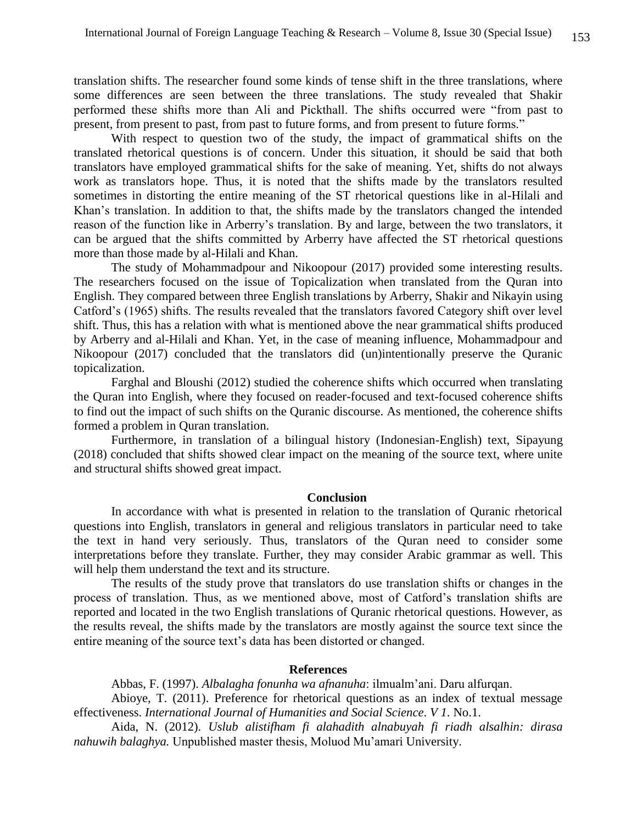translation shifts. The researcher found some kinds of tense shift in the three translations, where some differences are seen between the three translations. The study revealed that Shakir performed these shifts more than Ali and Pickthall. The shifts occurred were "from past to present, from present to past, from past to future forms, and from present to future forms."

With respect to question two of the study, the impact of grammatical shifts on the translated rhetorical questions is of concern. Under this situation, it should be said that both translators have employed grammatical shifts for the sake of meaning. Yet, shifts do not always work as translators hope. Thus, it is noted that the shifts made by the translators resulted sometimes in distorting the entire meaning of the ST rhetorical questions like in al-Hilali and Khan's translation. In addition to that, the shifts made by the translators changed the intended reason of the function like in Arberry's translation. By and large, between the two translators, it can be argued that the shifts committed by Arberry have affected the ST rhetorical questions more than those made by al-Hilali and Khan.

The study of Mohammadpour and Nikoopour (2017) provided some interesting results. The researchers focused on the issue of Topicalization when translated from the Quran into English. They compared between three English translations by Arberry, Shakir and Nikayin using Catford's (1965) shifts. The results revealed that the translators favored Category shift over level shift. Thus, this has a relation with what is mentioned above the near grammatical shifts produced by Arberry and al-Hilali and Khan. Yet, in the case of meaning influence, Mohammadpour and Nikoopour (2017) concluded that the translators did (un)intentionally preserve the Quranic topicalization.

Farghal and Bloushi (2012) studied the coherence shifts which occurred when translating the Quran into English, where they focused on reader-focused and text-focused coherence shifts to find out the impact of such shifts on the Quranic discourse. As mentioned, the coherence shifts formed a problem in Quran translation.

Furthermore, in translation of a bilingual history (Indonesian-English) text, Sipayung (2018) concluded that shifts showed clear impact on the meaning of the source text, where unite and structural shifts showed great impact.

## **Conclusion**

In accordance with what is presented in relation to the translation of Quranic rhetorical questions into English, translators in general and religious translators in particular need to take the text in hand very seriously. Thus, translators of the Quran need to consider some interpretations before they translate. Further, they may consider Arabic grammar as well. This will help them understand the text and its structure.

The results of the study prove that translators do use translation shifts or changes in the process of translation. Thus, as we mentioned above, most of Catford's translation shifts are reported and located in the two English translations of Quranic rhetorical questions. However, as the results reveal, the shifts made by the translators are mostly against the source text since the entire meaning of the source text's data has been distorted or changed.

### **References**

Abbas, F. (1997). *Albalagha fonunha wa afnanuha*: ilmualm'ani. Daru alfurqan.

Abioye, T. (2011). Preference for rhetorical questions as an index of textual message effectiveness. *International Journal of Humanities and Social Science*. *V 1*. No.1.

Aida, N. (2012). *Uslub alistifham fi alahadith alnabuyah fi riadh alsalhin: dirasa nahuwih balaghya.* Unpublished master thesis, Moluod Mu'amari University.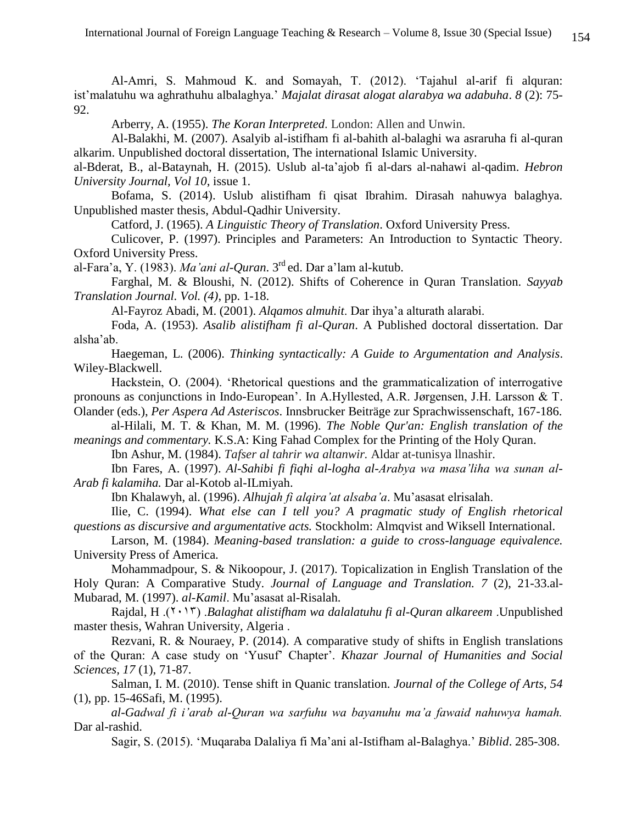Al-Amri, S. Mahmoud K. and Somayah, T. (2012). 'Tajahul al-arif fi alquran: ist'malatuhu wa aghrathuhu albalaghya.' *Majalat dirasat alogat alarabya wa adabuha*. *8* (2): 75- 92.

Arberry, A. (1955). *The Koran Interpreted*. London: Allen and Unwin.

Al-Balakhi, M. (2007). Asalyib al-istifham fi al-bahith al-balaghi wa asraruha fi al-quran alkarim. Unpublished doctoral dissertation, The international Islamic University.

al-Bderat, B., al-Bataynah, H. (2015). Uslub al-ta'ajob fi al-dars al-nahawi al-qadim. *Hebron University Journal, Vol 10*, issue 1.

Bofama, S. (2014). Uslub alistifham fi qisat Ibrahim. Dirasah nahuwya balaghya. Unpublished master thesis, Abdul-Qadhir University.

Catford, J. (1965). *A Linguistic Theory of Translation*. Oxford University Press.

Culicover, P. (1997). Principles and Parameters: An Introduction to Syntactic Theory. Oxford University Press.

al-Fara'a, Y. (1983). *Ma'ani al-Quran*. 3rd ed. Dar a'lam al-kutub.

Farghal, M. & Bloushi, N. (2012). Shifts of Coherence in Quran Translation. *Sayyab Translation Journal. Vol. (4)*, pp. 1-18.

Al-Fayroz Abadi, M. (2001). *Alqamos almuhit*. Dar ihya'a alturath alarabi.

Foda, A. (1953). *Asalib alistifham fi al-Quran*. A Published doctoral dissertation. Dar alsha'ab.

Haegeman, L. (2006). *Thinking syntactically: A Guide to Argumentation and Analysis*. Wiley-Blackwell.

Hackstein, O. (2004). 'Rhetorical questions and the grammaticalization of interrogative pronouns as conjunctions in Indo-European'. In A.Hyllested, A.R. Jørgensen, J.H. Larsson & T. Olander (eds.), *Per Aspera Ad Asteriscos*. Innsbrucker Beiträge zur Sprachwissenschaft, 167-186.

al-Hilali, M. T. & Khan, M. M. (1996). *The Noble Qur'an: English translation of the meanings and commentary.* K.S.A: King Fahad Complex for the Printing of the Holy Quran.

Ibn Ashur, M. (1984). *Tafser al tahrir wa altanwir.* Aldar at-tunisya llnashir.

Ibn Fares, A. (1997). *Al-Sahibi fi fiqhi al-logha al-Arabya wa masa'liha wa sunan al-Arab fi kalamiha.* Dar al-Kotob al-ILmiyah.

Ibn Khalawyh, al. (1996). *Alhujah fi alqira'at alsaba'a*. Mu'asasat elrisalah.

Ilie, C. (1994). *What else can I tell you? A pragmatic study of English rhetorical questions as discursive and argumentative acts.* Stockholm: Almqvist and Wiksell International.

Larson, M. (1984). *Meaning-based translation: a guide to cross-language equivalence.* University Press of America.

Mohammadpour, S. & Nikoopour, J. (2017). Topicalization in English Translation of the Holy Quran: A Comparative Study. *Journal of Language and Translation. 7* (2), 21-33.al-Mubarad, M. (1997). *al-Kamil*. Mu'asasat al-Risalah.

Rajdal, H .)3102( .*Balaghat alistifham wa dalalatuhu fi al-Quran alkareem* .Unpublished master thesis, Wahran University, Algeria .

Rezvani, R. & Nouraey, P. (2014). A comparative study of shifts in English translations of the Quran: A case study on 'Yusuf' Chapter'. *Khazar Journal of Humanities and Social Sciences, 17* (1), 71-87.

Salman, I. M. (2010). Tense shift in Quanic translation. *Journal of the College of Arts, 54* (1), pp. 15-46Safi, M. (1995).

*al-Gadwal fi i'arab al-Quran wa sarfuhu wa bayanuhu ma'a fawaid nahuwya hamah.* Dar al-rashid.

Sagir, S. (2015). 'Muqaraba Dalaliya fi Ma'ani al-Istifham al-Balaghya.' *Biblid*. 285-308.